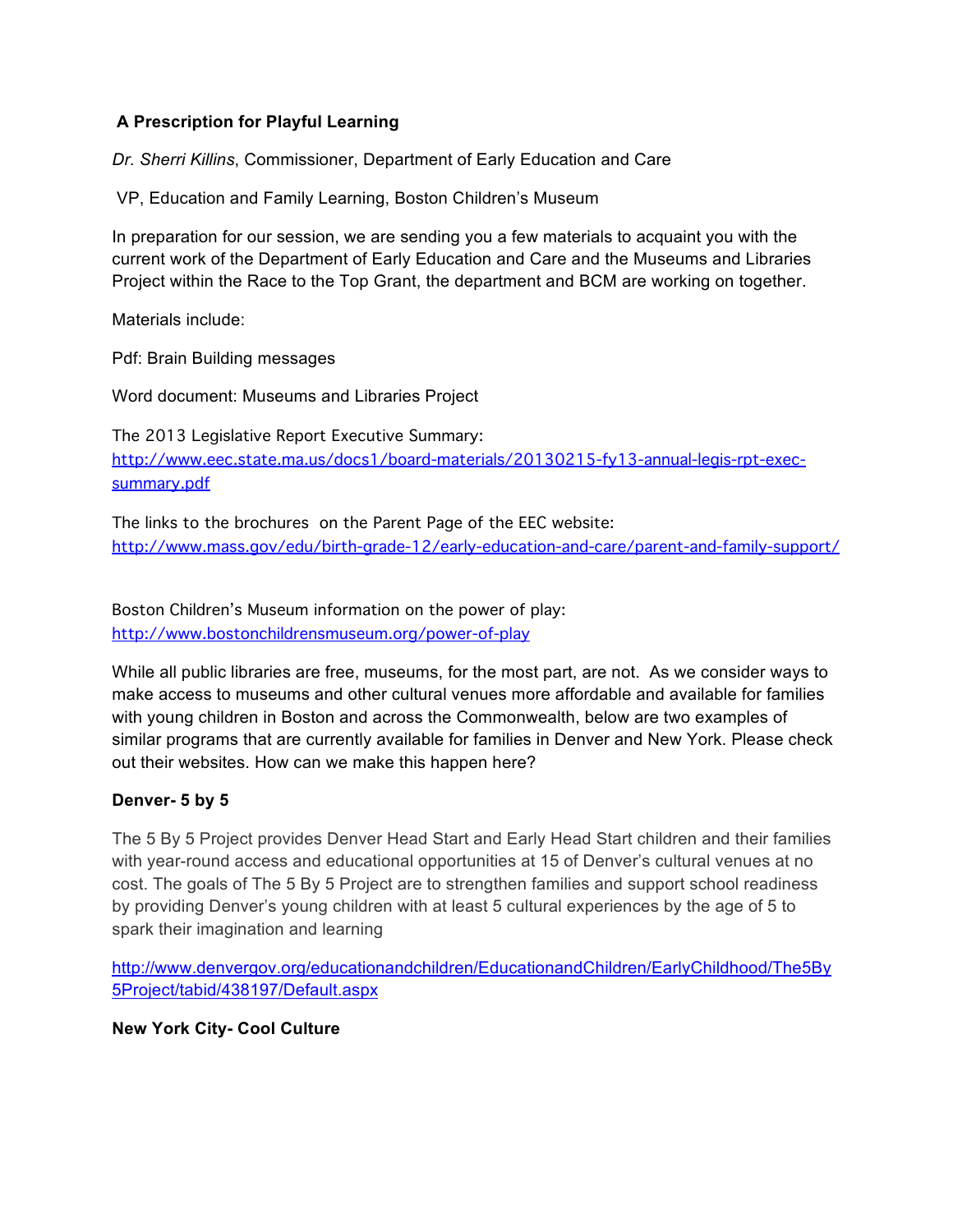### **A Prescription for Playful Learning**

*Dr. Sherri Killins*, Commissioner, Department of Early Education and Care

VP, Education and Family Learning, Boston Children's Museum

In preparation for our session, we are sending you a few materials to acquaint you with the current work of the Department of Early Education and Care and the Museums and Libraries Project within the Race to the Top Grant, the department and BCM are working on together.

Materials include:

Pdf: Brain Building messages

Word document: Museums and Libraries Project

The 2013 Legislative Report Executive Summary: http://www.eec.state.ma.us/docs1/board-materials/20130215-fy13-annual-legis-rpt-execsummary.pdf

The links to the brochures on the Parent Page of the EEC website: http://www.mass.gov/edu/birth-grade-12/early-education-and-care/parent-and-family-support/

Boston Children's Museum information on the power of play: http://www.bostonchildrensmuseum.org/power-of-play

While all public libraries are free, museums, for the most part, are not. As we consider ways to make access to museums and other cultural venues more affordable and available for families with young children in Boston and across the Commonwealth, below are two examples of similar programs that are currently available for families in Denver and New York. Please check out their websites. How can we make this happen here?

#### **Denver- 5 by 5**

The 5 By 5 Project provides Denver Head Start and Early Head Start children and their families with year-round access and educational opportunities at 15 of Denver's cultural venues at no cost. The goals of The 5 By 5 Project are to strengthen families and support school readiness by providing Denver's young children with at least 5 cultural experiences by the age of 5 to spark their imagination and learning

http://www.denvergov.org/educationandchildren/EducationandChildren/EarlyChildhood/The5By 5Project/tabid/438197/Default.aspx

#### **New York City- Cool Culture**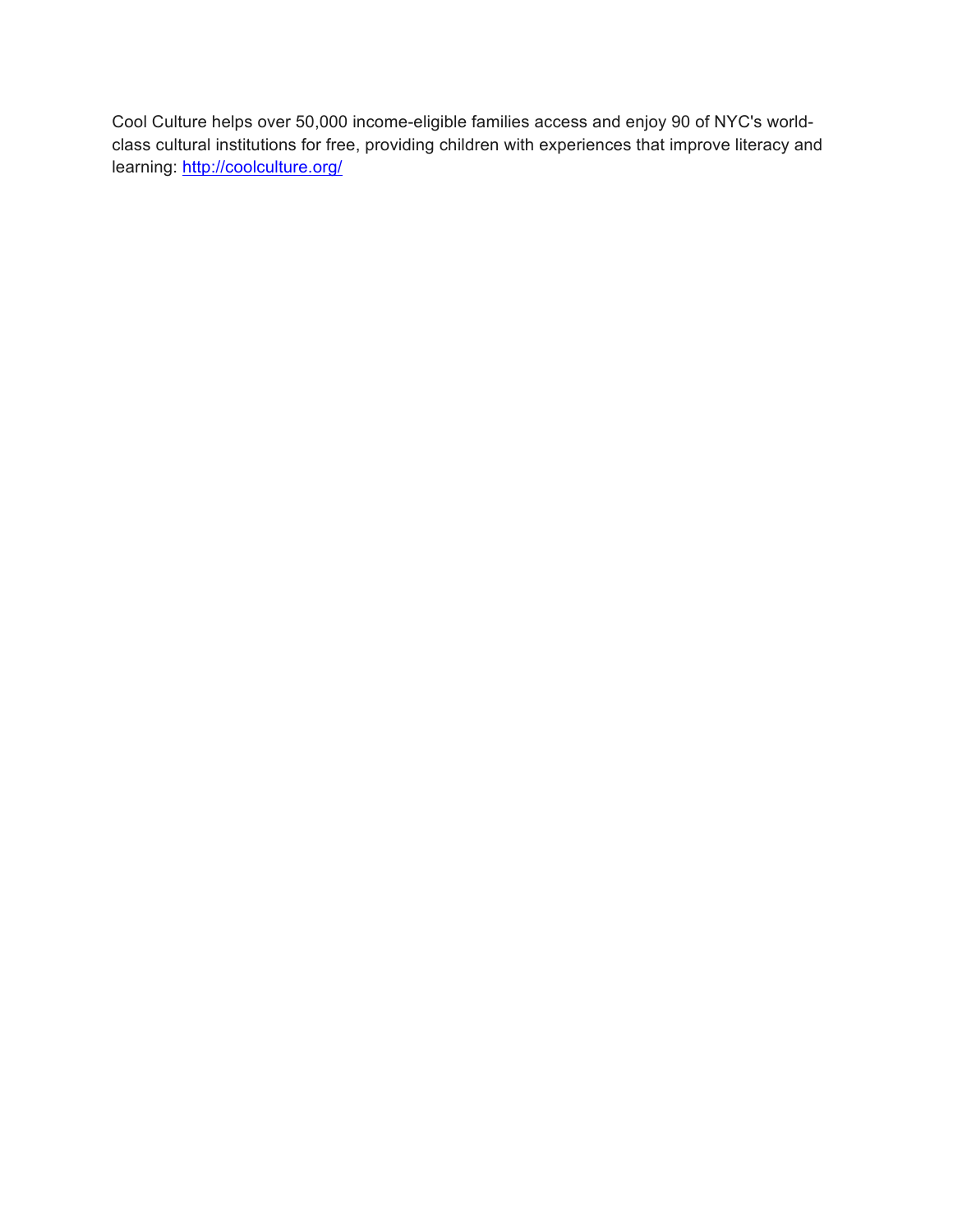Cool Culture helps over 50,000 income-eligible families access and enjoy 90 of NYC's worldclass cultural institutions for free, providing children with experiences that improve literacy and learning: http://coolculture.org/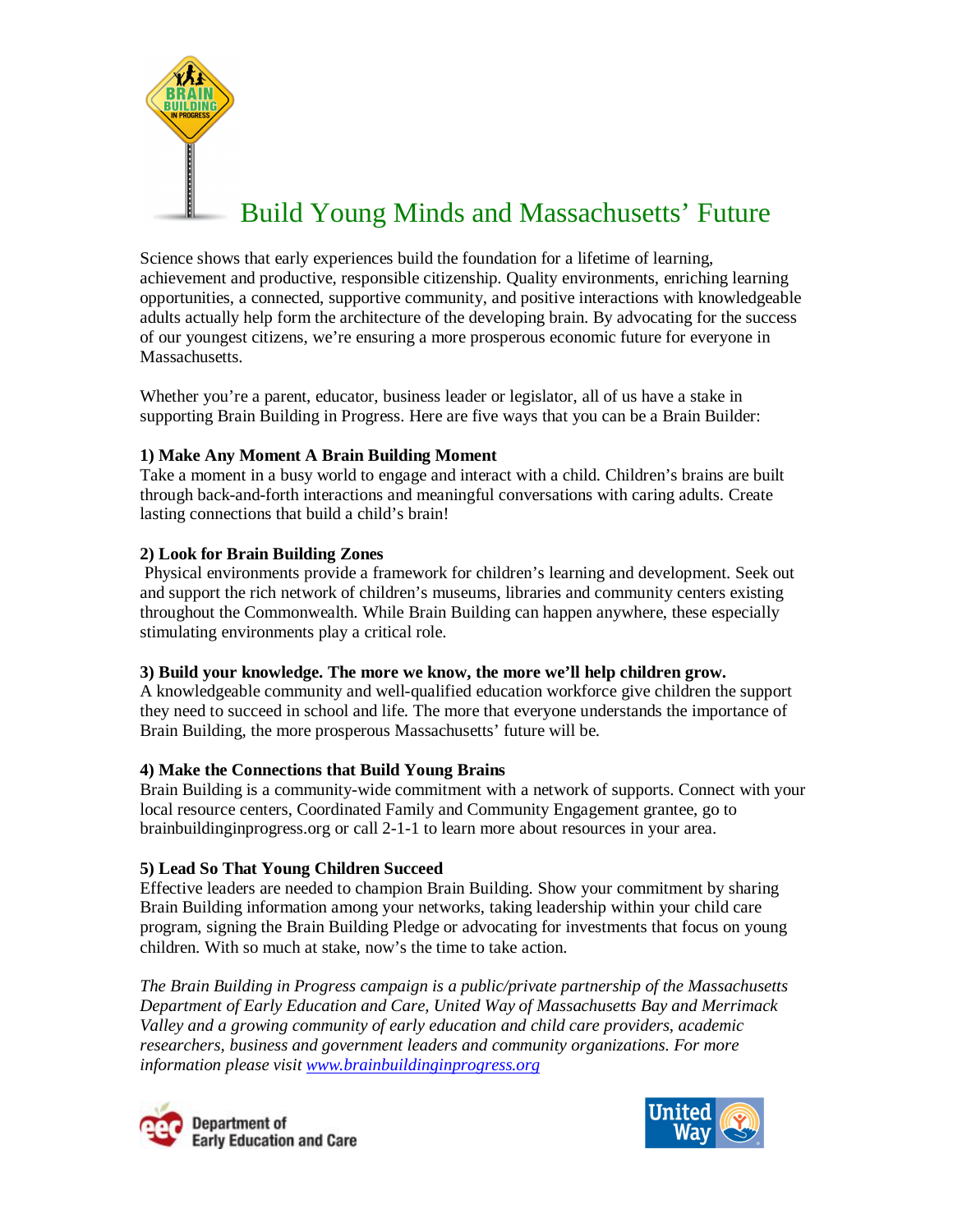

Science shows that early experiences build the foundation for a lifetime of learning, achievement and productive, responsible citizenship. Quality environments, enriching learning opportunities, a connected, supportive community, and positive interactions with knowledgeable adults actually help form the architecture of the developing brain. By advocating for the success of our youngest citizens, we're ensuring a more prosperous economic future for everyone in Massachusetts.

Whether you're a parent, educator, business leader or legislator, all of us have a stake in supporting Brain Building in Progress. Here are five ways that you can be a Brain Builder:

#### **1) Make Any Moment A Brain Building Moment**

Take a moment in a busy world to engage and interact with a child. Children's brains are built through back-and-forth interactions and meaningful conversations with caring adults. Create lasting connections that build a child's brain!

#### **2) Look for Brain Building Zones**

Physical environments provide a framework for children's learning and development. Seek out and support the rich network of children's museums, libraries and community centers existing throughout the Commonwealth. While Brain Building can happen anywhere, these especially stimulating environments play a critical role.

#### **3) Build your knowledge. The more we know, the more we'll help children grow.**

A knowledgeable community and well-qualified education workforce give children the support they need to succeed in school and life. The more that everyone understands the importance of Brain Building, the more prosperous Massachusetts' future will be.

#### **4) Make the Connections that Build Young Brains**

Brain Building is a community-wide commitment with a network of supports. Connect with your local resource centers, Coordinated Family and Community Engagement grantee, go to brainbuildinginprogress.org or call 2-1-1 to learn more about resources in your area.

### **5) Lead So That Young Children Succeed**

Effective leaders are needed to champion Brain Building. Show your commitment by sharing Brain Building information among your networks, taking leadership within your child care program, signing the Brain Building Pledge or advocating for investments that focus on young children. With so much at stake, now's the time to take action.

*The Brain Building in Progress campaign is a public/private partnership of the Massachusetts Department of Early Education and Care, United Way of Massachusetts Bay and Merrimack Valley and a growing community of early education and child care providers, academic researchers, business and government leaders and community organizations. For more information please visit www.brainbuildinginprogress.org*



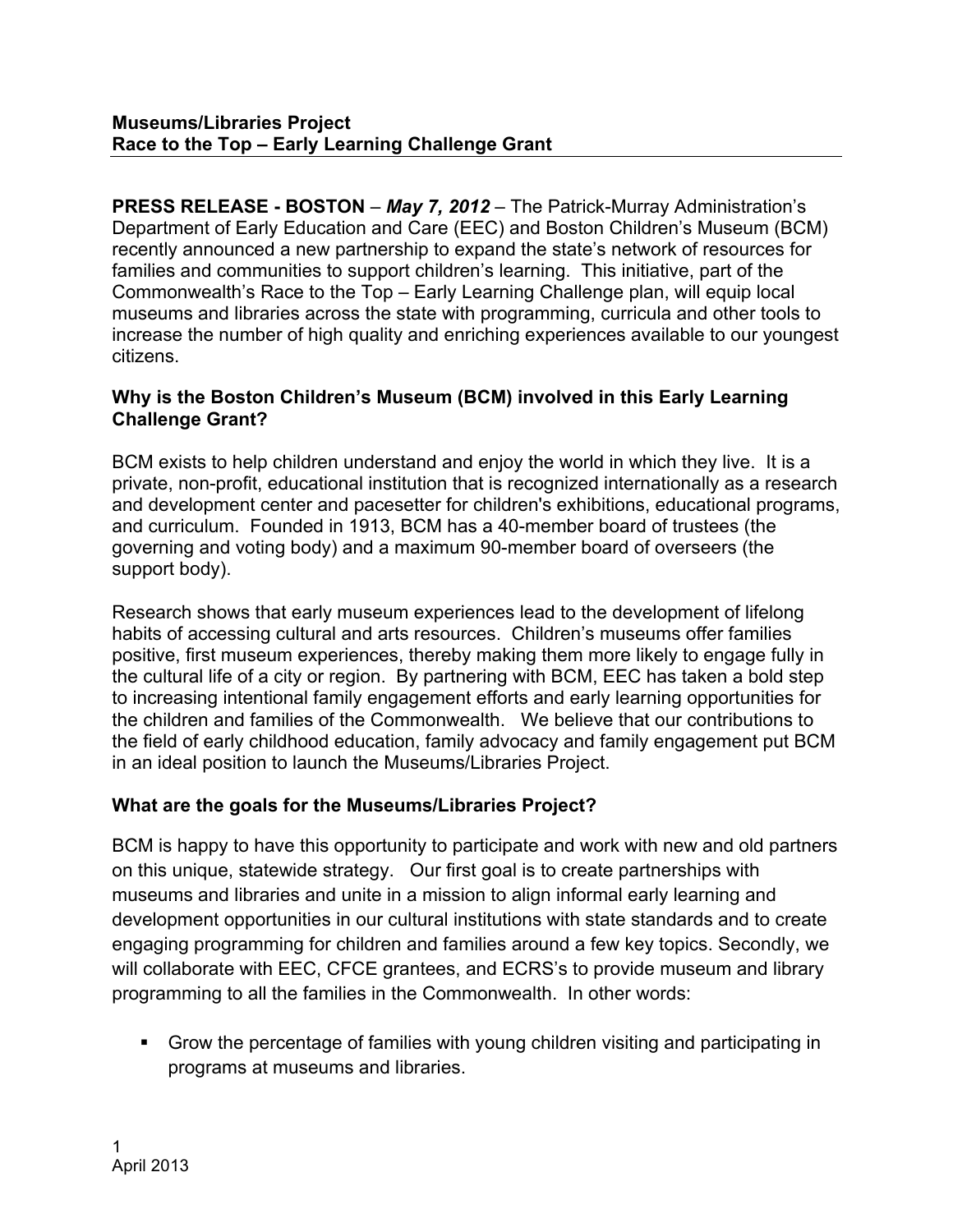**PRESS RELEASE - BOSTON** – *May 7, 2012* – The Patrick-Murray Administration's Department of Early Education and Care (EEC) and Boston Children's Museum (BCM) recently announced a new partnership to expand the state's network of resources for families and communities to support children's learning. This initiative, part of the Commonwealth's Race to the Top – Early Learning Challenge plan, will equip local museums and libraries across the state with programming, curricula and other tools to increase the number of high quality and enriching experiences available to our youngest citizens.

## **Why is the Boston Children's Museum (BCM) involved in this Early Learning Challenge Grant?**

BCM exists to help children understand and enjoy the world in which they live. It is a private, non-profit, educational institution that is recognized internationally as a research and development center and pacesetter for children's exhibitions, educational programs, and curriculum. Founded in 1913, BCM has a 40-member board of trustees (the governing and voting body) and a maximum 90-member board of overseers (the support body).

Research shows that early museum experiences lead to the development of lifelong habits of accessing cultural and arts resources. Children's museums offer families positive, first museum experiences, thereby making them more likely to engage fully in the cultural life of a city or region. By partnering with BCM, EEC has taken a bold step to increasing intentional family engagement efforts and early learning opportunities for the children and families of the Commonwealth. We believe that our contributions to the field of early childhood education, family advocacy and family engagement put BCM in an ideal position to launch the Museums/Libraries Project.

# **What are the goals for the Museums/Libraries Project?**

BCM is happy to have this opportunity to participate and work with new and old partners on this unique, statewide strategy. Our first goal is to create partnerships with museums and libraries and unite in a mission to align informal early learning and development opportunities in our cultural institutions with state standards and to create engaging programming for children and families around a few key topics. Secondly, we will collaborate with EEC, CFCE grantees, and ECRS's to provide museum and library programming to all the families in the Commonwealth. In other words:

 Grow the percentage of families with young children visiting and participating in programs at museums and libraries.